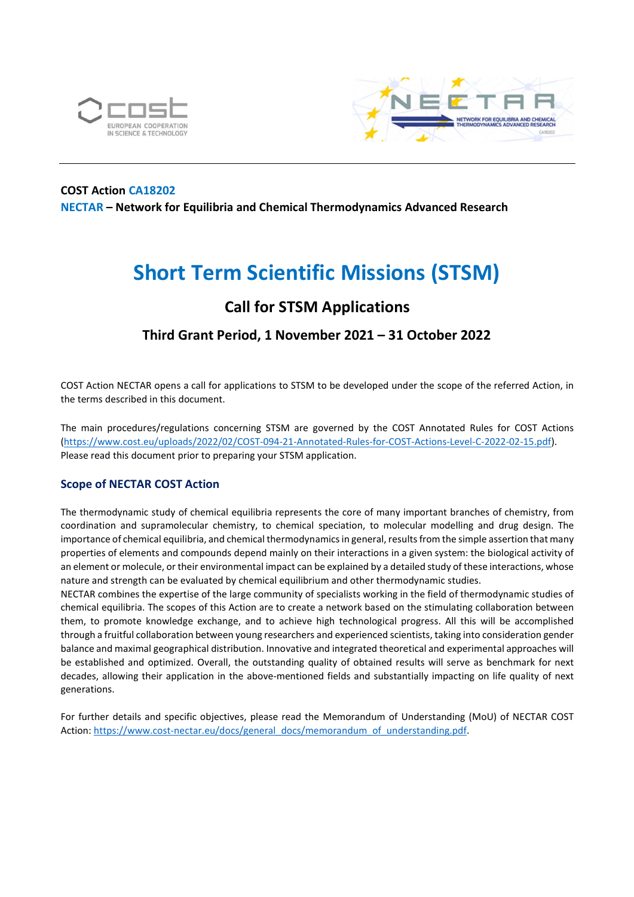



# COST Action CA18202 NECTAR – Network for Equilibria and Chemical Thermodynamics Advanced Research

# Short Term Scientific Missions (STSM)

# Call for STSM Applications

# Third Grant Period, 1 November 2021 – 31 October 2022

COST Action NECTAR opens a call for applications to STSM to be developed under the scope of the referred Action, in the terms described in this document.

The main procedures/regulations concerning STSM are governed by the COST Annotated Rules for COST Actions (https://www.cost.eu/uploads/2022/02/COST-094-21-Annotated-Rules-for-COST-Actions-Level-C-2022-02-15.pdf). Please read this document prior to preparing your STSM application.

# Scope of NECTAR COST Action

The thermodynamic study of chemical equilibria represents the core of many important branches of chemistry, from coordination and supramolecular chemistry, to chemical speciation, to molecular modelling and drug design. The importance of chemical equilibria, and chemical thermodynamics in general, results from the simple assertion that many properties of elements and compounds depend mainly on their interactions in a given system: the biological activity of an element or molecule, or their environmental impact can be explained by a detailed study of these interactions, whose nature and strength can be evaluated by chemical equilibrium and other thermodynamic studies.

NECTAR combines the expertise of the large community of specialists working in the field of thermodynamic studies of chemical equilibria. The scopes of this Action are to create a network based on the stimulating collaboration between them, to promote knowledge exchange, and to achieve high technological progress. All this will be accomplished through a fruitful collaboration between young researchers and experienced scientists, taking into consideration gender balance and maximal geographical distribution. Innovative and integrated theoretical and experimental approaches will be established and optimized. Overall, the outstanding quality of obtained results will serve as benchmark for next decades, allowing their application in the above-mentioned fields and substantially impacting on life quality of next generations.

For further details and specific objectives, please read the Memorandum of Understanding (MoU) of NECTAR COST Action: https://www.cost-nectar.eu/docs/general\_docs/memorandum\_of\_understanding.pdf.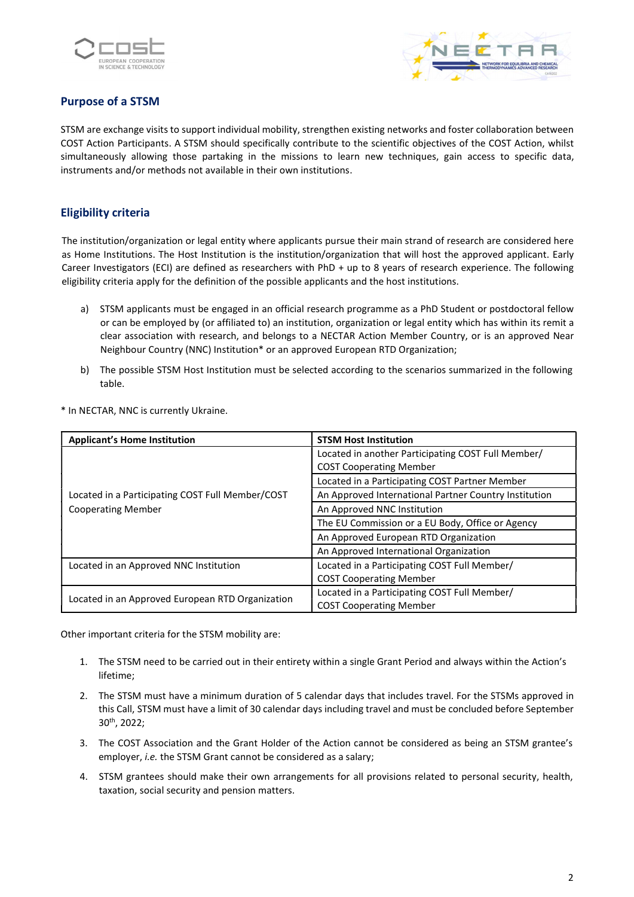



# Purpose of a STSM

STSM are exchange visits to support individual mobility, strengthen existing networks and foster collaboration between COST Action Participants. A STSM should specifically contribute to the scientific objectives of the COST Action, whilst simultaneously allowing those partaking in the missions to learn new techniques, gain access to specific data, instruments and/or methods not available in their own institutions.

# Eligibility criteria

The institution/organization or legal entity where applicants pursue their main strand of research are considered here as Home Institutions. The Host Institution is the institution/organization that will host the approved applicant. Early Career Investigators (ECI) are defined as researchers with PhD + up to 8 years of research experience. The following eligibility criteria apply for the definition of the possible applicants and the host institutions.

- a) STSM applicants must be engaged in an official research programme as a PhD Student or postdoctoral fellow or can be employed by (or affiliated to) an institution, organization or legal entity which has within its remit a clear association with research, and belongs to a NECTAR Action Member Country, or is an approved Near Neighbour Country (NNC) Institution\* or an approved European RTD Organization;
- b) The possible STSM Host Institution must be selected according to the scenarios summarized in the following table.

\* In NECTAR, NNC is currently Ukraine.

| <b>Applicant's Home Institution</b>                                           | <b>STSM Host Institution</b>                                                         |
|-------------------------------------------------------------------------------|--------------------------------------------------------------------------------------|
| Located in a Participating COST Full Member/COST<br><b>Cooperating Member</b> | Located in another Participating COST Full Member/<br><b>COST Cooperating Member</b> |
|                                                                               | Located in a Participating COST Partner Member                                       |
|                                                                               | An Approved International Partner Country Institution                                |
|                                                                               | An Approved NNC Institution                                                          |
|                                                                               | The EU Commission or a EU Body, Office or Agency                                     |
|                                                                               | An Approved European RTD Organization                                                |
|                                                                               | An Approved International Organization                                               |
| Located in an Approved NNC Institution                                        | Located in a Participating COST Full Member/                                         |
|                                                                               | <b>COST Cooperating Member</b>                                                       |
| Located in an Approved European RTD Organization                              | Located in a Participating COST Full Member/<br><b>COST Cooperating Member</b>       |

Other important criteria for the STSM mobility are:

- 1. The STSM need to be carried out in their entirety within a single Grant Period and always within the Action's lifetime;
- 2. The STSM must have a minimum duration of 5 calendar days that includes travel. For the STSMs approved in this Call, STSM must have a limit of 30 calendar days including travel and must be concluded before September 30th, 2022;
- 3. The COST Association and the Grant Holder of the Action cannot be considered as being an STSM grantee's employer, i.e. the STSM Grant cannot be considered as a salary;
- 4. STSM grantees should make their own arrangements for all provisions related to personal security, health, taxation, social security and pension matters.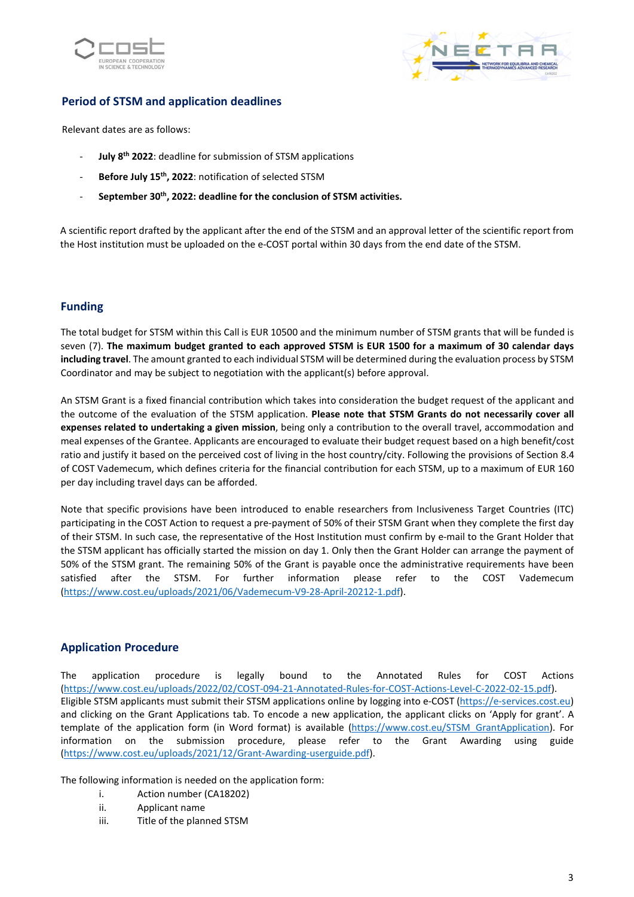



# Period of STSM and application deadlines

Relevant dates are as follows:

- July 8<sup>th</sup> 2022: deadline for submission of STSM applications
- Before July 15<sup>th</sup>, 2022: notification of selected STSM
- September 30<sup>th</sup>, 2022: deadline for the conclusion of STSM activities.

A scientific report drafted by the applicant after the end of the STSM and an approval letter of the scientific report from the Host institution must be uploaded on the e-COST portal within 30 days from the end date of the STSM.

# Funding

The total budget for STSM within this Call is EUR 10500 and the minimum number of STSM grants that will be funded is seven (7). The maximum budget granted to each approved STSM is EUR 1500 for a maximum of 30 calendar days including travel. The amount granted to each individual STSM will be determined during the evaluation process by STSM Coordinator and may be subject to negotiation with the applicant(s) before approval.

An STSM Grant is a fixed financial contribution which takes into consideration the budget request of the applicant and the outcome of the evaluation of the STSM application. Please note that STSM Grants do not necessarily cover all expenses related to undertaking a given mission, being only a contribution to the overall travel, accommodation and meal expenses of the Grantee. Applicants are encouraged to evaluate their budget request based on a high benefit/cost ratio and justify it based on the perceived cost of living in the host country/city. Following the provisions of Section 8.4 of COST Vademecum, which defines criteria for the financial contribution for each STSM, up to a maximum of EUR 160 per day including travel days can be afforded.

Note that specific provisions have been introduced to enable researchers from Inclusiveness Target Countries (ITC) participating in the COST Action to request a pre-payment of 50% of their STSM Grant when they complete the first day of their STSM. In such case, the representative of the Host Institution must confirm by e-mail to the Grant Holder that the STSM applicant has officially started the mission on day 1. Only then the Grant Holder can arrange the payment of 50% of the STSM grant. The remaining 50% of the Grant is payable once the administrative requirements have been satisfied after the STSM. For further information please refer to the COST Vademecum (https://www.cost.eu/uploads/2021/06/Vademecum-V9-28-April-20212-1.pdf).

# Application Procedure

The application procedure is legally bound to the Annotated Rules for COST Actions (https://www.cost.eu/uploads/2022/02/COST-094-21-Annotated-Rules-for-COST-Actions-Level-C-2022-02-15.pdf). Eligible STSM applicants must submit their STSM applications online by logging into e-COST (https://e-services.cost.eu) and clicking on the Grant Applications tab. To encode a new application, the applicant clicks on 'Apply for grant'. A template of the application form (in Word format) is available (https://www.cost.eu/STSM\_GrantApplication). For information on the submission procedure, please refer to the Grant Awarding using guide (https://www.cost.eu/uploads/2021/12/Grant-Awarding-userguide.pdf).

The following information is needed on the application form:

- i. Action number (CA18202)
- ii. Applicant name
- iii. Title of the planned STSM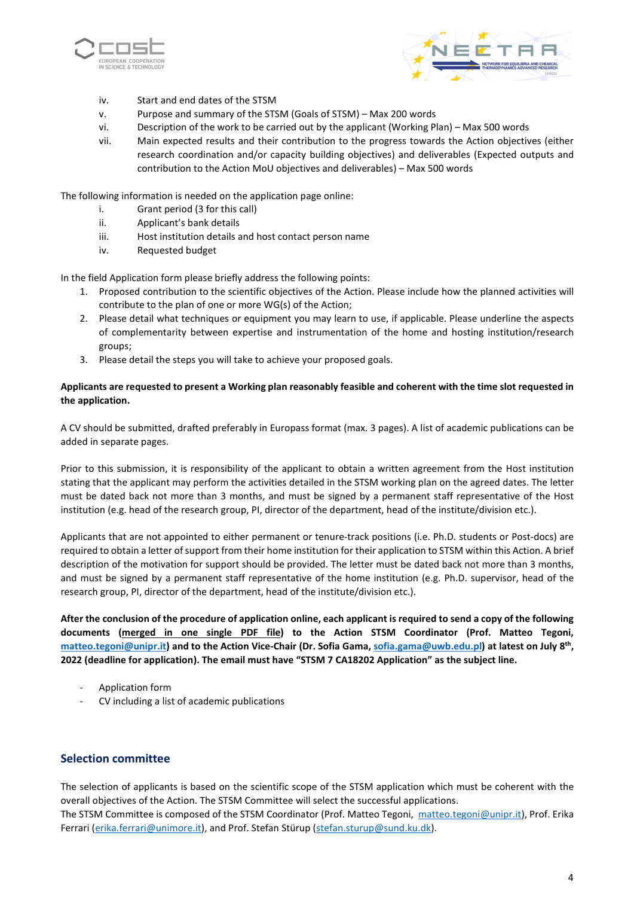



- iv. Start and end dates of the STSM
- v. Purpose and summary of the STSM (Goals of STSM) Max 200 words
- vi. Description of the work to be carried out by the applicant (Working Plan) Max 500 words
- vii. Main expected results and their contribution to the progress towards the Action objectives (either research coordination and/or capacity building objectives) and deliverables (Expected outputs and contribution to the Action MoU objectives and deliverables) – Max 500 words

The following information is needed on the application page online:

- i. Grant period (3 for this call)
- ii. Applicant's bank details
- iii. Host institution details and host contact person name
- iv. Requested budget

In the field Application form please briefly address the following points:

- 1. Proposed contribution to the scientific objectives of the Action. Please include how the planned activities will contribute to the plan of one or more WG(s) of the Action;
- 2. Please detail what techniques or equipment you may learn to use, if applicable. Please underline the aspects of complementarity between expertise and instrumentation of the home and hosting institution/research groups;
- 3. Please detail the steps you will take to achieve your proposed goals.

#### Applicants are requested to present a Working plan reasonably feasible and coherent with the time slot requested in the application.

A CV should be submitted, drafted preferably in Europass format (max. 3 pages). A list of academic publications can be added in separate pages.

Prior to this submission, it is responsibility of the applicant to obtain a written agreement from the Host institution stating that the applicant may perform the activities detailed in the STSM working plan on the agreed dates. The letter must be dated back not more than 3 months, and must be signed by a permanent staff representative of the Host institution (e.g. head of the research group, PI, director of the department, head of the institute/division etc.).

Applicants that are not appointed to either permanent or tenure-track positions (i.e. Ph.D. students or Post-docs) are required to obtain a letter of support from their home institution for their application to STSM within this Action. A brief description of the motivation for support should be provided. The letter must be dated back not more than 3 months, and must be signed by a permanent staff representative of the home institution (e.g. Ph.D. supervisor, head of the research group, PI, director of the department, head of the institute/division etc.).

After the conclusion of the procedure of application online, each applicant is required to send a copy of the following documents (merged in one single PDF file) to the Action STSM Coordinator (Prof. Matteo Tegoni, matteo.tegoni@unipr.it) and to the Action Vice-Chair (Dr. Sofia Gama, sofia.gama@uwb.edu.pl) at latest on July 8<sup>th</sup>, 2022 (deadline for application). The email must have "STSM 7 CA18202 Application" as the subject line.

- Application form
- CV including a list of academic publications

#### Selection committee

The selection of applicants is based on the scientific scope of the STSM application which must be coherent with the overall objectives of the Action. The STSM Committee will select the successful applications.

The STSM Committee is composed of the STSM Coordinator (Prof. Matteo Tegoni, matteo.tegoni@unipr.it), Prof. Erika Ferrari (erika.ferrari@unimore.it), and Prof. Stefan Stürup (stefan.sturup@sund.ku.dk).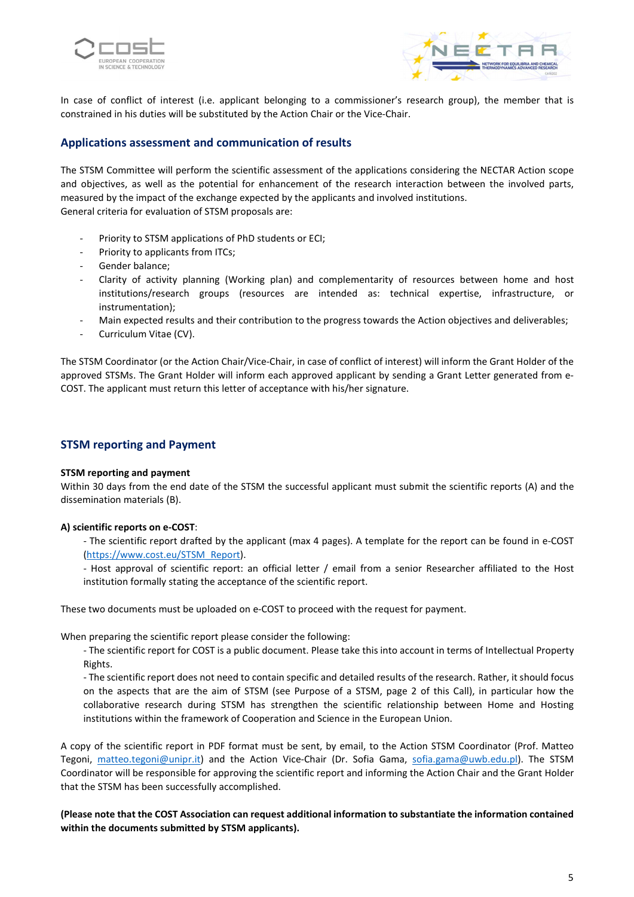



In case of conflict of interest (i.e. applicant belonging to a commissioner's research group), the member that is constrained in his duties will be substituted by the Action Chair or the Vice-Chair.

#### Applications assessment and communication of results

The STSM Committee will perform the scientific assessment of the applications considering the NECTAR Action scope and objectives, as well as the potential for enhancement of the research interaction between the involved parts, measured by the impact of the exchange expected by the applicants and involved institutions. General criteria for evaluation of STSM proposals are:

- Priority to STSM applications of PhD students or ECI;
- Priority to applicants from ITCs;
- Gender balance:
- Clarity of activity planning (Working plan) and complementarity of resources between home and host institutions/research groups (resources are intended as: technical expertise, infrastructure, or instrumentation);
- Main expected results and their contribution to the progress towards the Action objectives and deliverables;
- Curriculum Vitae (CV).

The STSM Coordinator (or the Action Chair/Vice-Chair, in case of conflict of interest) will inform the Grant Holder of the approved STSMs. The Grant Holder will inform each approved applicant by sending a Grant Letter generated from e-COST. The applicant must return this letter of acceptance with his/her signature.

#### STSM reporting and Payment

#### STSM reporting and payment

Within 30 days from the end date of the STSM the successful applicant must submit the scientific reports (A) and the dissemination materials (B).

#### A) scientific reports on e-COST:

- The scientific report drafted by the applicant (max 4 pages). A template for the report can be found in e-COST (https://www.cost.eu/STSM\_Report).

- Host approval of scientific report: an official letter / email from a senior Researcher affiliated to the Host institution formally stating the acceptance of the scientific report.

These two documents must be uploaded on e-COST to proceed with the request for payment.

When preparing the scientific report please consider the following:

- The scientific report for COST is a public document. Please take this into account in terms of Intellectual Property Rights.

- The scientific report does not need to contain specific and detailed results of the research. Rather, it should focus on the aspects that are the aim of STSM (see Purpose of a STSM, page 2 of this Call), in particular how the collaborative research during STSM has strengthen the scientific relationship between Home and Hosting institutions within the framework of Cooperation and Science in the European Union.

A copy of the scientific report in PDF format must be sent, by email, to the Action STSM Coordinator (Prof. Matteo Tegoni, matteo.tegoni@unipr.it) and the Action Vice-Chair (Dr. Sofia Gama, sofia.gama@uwb.edu.pl). The STSM Coordinator will be responsible for approving the scientific report and informing the Action Chair and the Grant Holder that the STSM has been successfully accomplished.

(Please note that the COST Association can request additional information to substantiate the information contained within the documents submitted by STSM applicants).